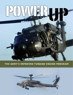

# THE ARMY'S IMPROVED TURBINE ENGINE PROGRAM

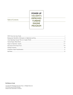**POWER UP THE ARMY'S IMPROVED TURBINE ENGINE PROGRAM** 

**Table of Contents** 

#### **By Rebecca Grant**

Copyright 2015 Washington Security Forum. All Rights Reserved. Cover and Layout by Dixon Designs. Printed in the United States of America.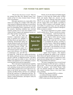#### **ITEP: POWER THE ARMY NEEDS**

*"We don't have the power we need."* That was the warning from Maj. Gen. Michael Lundy, Commander of the U.S. Army Aviation Center of Excellence at Fort Rucker.i

Helicopter operations are a major pillar of the Army's new strategy for a complex world. But as the Army learned in Afghanistan and Iraq, its current fleets of Black Hawks and Apaches often don't have enough power for demanding terrain, temperatures and combat scenarios. Operating conditions have restricted missions causing crews to carry fewer Soldiers or fly without all their weapons and equipment because en-

gines didn't produce enough power.

That's why the Army has launched a replacement engine program to transform the capability of the Black Hawk and Apache fleets. A technology demonstration phase has already produced results and will lead to the next phase of the Improved Turbine Engine Program or ITEP. The Army has asked engine makers for a 50% increase in power, 25% improvement in fuel efficiency, 35% decrease in maintenance costs, and 20% lon-

ger engine life. Under the new engine specifications, the Apache could gain an hour of extra mission time and up to 2500 lbs. of additional payload. The Black Hawk could regain the ability to carry a full load of Soldiers and equipment even in challenging scenarios involving high terrain and hot temperatures.

This is the kind of transformational capability the Army needs. In October 2014, the Army released a new operating concept centered on global operations and the ability to project force even in anti-access scenarios in the Pacific and elsewhere. That means the Apaches and Black Hawks will have new challenges beyond the experience of Afghanistan and Iraq. Improved turbine engines could considerably reduce risk, enhance combat performance, and improve safety for the decades ahead.

Priority one for the Improved Turbine Engine Program is to buy back the combat utility of Black Hawk and Apache. Right now, aircrews are taking short cuts such as reducing troop loads, tasking CH-47s for air assault, or trading fuel for munitions and fire control radar of the Apache. According to the Army, ITEP is needed to end shortfalls, improve survivability for ground troops, and stop risking the ground commander's scheme of maneuver through inability to remain on station.<sup>ii</sup>

The tactical requirement for greater combat reach is another driver. Picture a mission in a contest-

> ed environment – maybe the Pacific theater – with Soldiers prepared to take over a vital objective before adversary forces reach it. Speed is everything. Current Black Hawks could take over nine hours to accomplish the mission, according to an Army analysis. Black Hawks equipped with new engines, carrying the full load of passengers, and eliminating a fuel stop could carry out the mission in two hours and nine minutes.

> The program has also attracted steady support from Congress. "The initiative

to retrofit and upgrade the engines of the workhorse Black Hawk and Apache helicopter fleets via the improved turbine engine program is a testament to intelligent decision-making in the new budget era," wrote Rep. Duncan Hunter, R-California.iii

The Army is preparing to move toward formal engine development in 2016 and select a winning engine in 2018. "The Army has really put their money behind this program," said Colonel Thomas Todd, who was program manager for utility helicoptersiv This analysis considers factors in the Army's decisions, including:

- Why the Army identified ITEP as a solution to combat performance shortfalls
- Tactical Impact for Black Hawk and Apache
- ITEP as Innovation for the Future Force

*"We don't have the power we need."*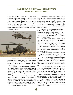## **BACKGROUND: SHORTFALLS IN HELICOPTERS IN AFGHANISTAN AND IRAQ**

"Right now, the Black Hawks can't do their stated mission in Afghanistan," said Army officials in 2004. Engine power limited range and prevented the Black Hawks from carrying the full load of combat troops in high altitudes and hot conditions without reducing the amount of fuel or payload on board.<sup>v</sup>

The Black Hawks simply couldn't make the weight or cover the distances as the thin, hot air degraded performance.



Crews compensated. Medevac teams removed equipment. Black Hawks carried five Soldiers, their kit and weapons, instead of 11. But that stunning conclusion signaled the Army had to find a way to close the power gap.

The Black Hawk wasn't the only fleet affected. The UH-60 Black Hawks and the AH-64 Apache share the same engine type, a 40-year old design that was no longer up to the job in operating conditions where high altitude and hot temperatures limited performance.

The Army has upgraded the current series several times and nothing is left. "If you wanted to squeeze something else out of this engine, you're only going to get maybe an extra 100 shaft horsepower, maybe one or two improvements to fuel efficiency," said Lt. Col. Roger Kuykendall, who was Army program manager of common engines.<sup>vi</sup>

To the Army, this was unacceptable. The solution lay with a new engine tasked to deliver 3,000 shaft horsepower. Drawing on previous research, in 2007 the Army Aviation Applied Technology Directorate began the Advanced Affordable Turbine Engine (AATE) program as the first step to develop a drop-in replacement engine to be retrofitted on both the Black Hawk and Apache.

Reaching out to industry, the Army stated "additional Black Hawk lift capability is needed for hot/high operating conditions and a significant increase in aircraft mission radius capability, up to 500 km (270 nm), is desired for both the Apache and Black Hawk helicopters."

The Army issued specific goals. The improved engines were to be 50% more powerful, and 25% more fuel-efficient with a longer lifespan and lower maintenance costs. Basic requirements included "development and qualification of a new centerline, turbo-shaft engine that is needed to support modernization requirements necessary to ensure the Apache and Black Hawk remain operationally effective well into the 21st century."

As a 6.3 technology demonstration program, AATE served as the research program to lay the technical foundation for an improved turbine engine.

"We're providing a technology foundation to achieve the better fuel efficiency metrics and better horsepower [and] more power in that same envelope," explained Gary Butler, who was engine systems team leader at the Aviation Applied Technology Directorate.vii

Demand continued. "Army Aviation is one of the most deployed assets in the Army," explained Lieutenant General Bill Phillips in late 2012. "Our op-tempo is very high and we are sustaining an 84-percent mission capable rate. We are now up to 5.5 million man-hours and still flying in Afghanistan. Everyone at the highest levels of the Army recognizes the value of aviation to the fight," Phillips said.viii

Army plans call for the Improved Turbine Engine Program to deliver engines to the Army in the early 2020s. If Army leadership is right about the future challenges, the increase in combat power won't come a moment too soon.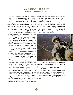### **ARMY OPERATING CONCEPT: WIN IN A COMPLEX WORLD**

Future ground forces are going to be up against adversaries with precision munitions, electronic warfare techniques and a desire to counter US advantages with novel tactics. "After more than a decade of major combat operations in Iraq and Afghanistan, the Army needs to make another transformation," explained Brig. Gen. Gary Brito, Director, U.S. Army Capabilities and Integration Center, at U.S. Army Training and Doctrine Command (TRADOC). The task was to prepare "future Army forces to support joint force freedom of movement and action through the projection of power from land across the air, maritime, space and cyberspace domains."ix

TRADOC released a new warfighting concept titled *Win in a Complex World* in October 2014. Known inside the Army as TRADOC Pamphlet 525- 3-1, this periodic document serves as the intellectual foundation and framework for developing the force of 2025 and beyond. The concept was a bold one that emphasized maneuver and force projection, and did not shy away from high-threat, anti-access situations. While the concept drew on combat experience, it framed future Army operations to overmatch the threats and technologies of near-peer conflict.

The Army operating concept envisions soldiers deploying rapidly to conflict areas where they will fight to gain access and hold territory. Under this concept:

Army forcible and early entry forces, protected by joint air and missile defense, achieve surprise and bypass or overcome enemy anti-access and area denial capabilities through inter-theater and intratheater maneuver to multiple locations. Integrated special operations forces and combined arms teams dynamically task-organized for the mission conduct reconnaissance and security operations to create and preserve options for the joint force commander.<sup>x</sup>

The Army's new operating concept will place very high demands on the Apache and Black Hawk fleets. Achieving surprise and bypassing enemy strongpoints will be up to the combined work of Black Hawk and Apache. For example, Apaches providing

forcible entry firepower and control of unmanned systems could perform much more effectively with the added range, mission duration and payload after they receive the engine upgrade.

"If we are going to fight in this complex world, if you think about being in a megacity, where you have to go into these small, tight landing zones and these urban canyons, you don't need just enough power to get in there and get out of there," Lundy said. "You need to get in there and get out of there with a lot of dynamic capability," he added.xi



In fact, ITEP was singled out as an important capability for Army aviation. "Improved turbine engine, drivetrain, and airfoil technologies keep legacy aircraft effective until future vertical lift fielding," stated TRADOC.xii

Given TRADOC's forecasts, the most important factor in the Army's decisions regarding ITEP is to what extent it can provide enhanced combat performance. The next sections consider the direct tactical impact on missions for the Black Hawk and for the Apache.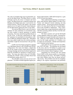The value of extended range may be particularly crucial for the Black Hawk. The Black Hawk is a utility helicopter used by the Army to transport and insert troops. The Black Hawk has a composite titanium and fiberglass four-bladed main rotor, is powered by two General Electric T700-GE-700 engines, and reaches speeds of over 163 mph (142 knots). Armor helps protect the Black Hawk against hits from 23 mm shells.

The stalwart Black Hawk is and will remain a mainstay for Army operations in environments ranging from combat to special operations to medical evacuation. The Army started buying Black Hawks in the late 1970s. At that time, requirements for "high/ hot" operation were specified at an atmospheric condition of 4000 foot altitude/95-degree day. Helicopters have since added weight from new mission packages, and Soldier weight has increased due to the gear they carry.

In 2001, the Army began a program to upgrade over 2000 Black Hawks to the UH-60M and UH-60V configurations. New main rotor blades, a digital data bus for the cockpit avionics, multi-function displays, a stronger fuselage and advanced infrared suppression fitted the UH-60Ms for operations in tough environments. The Army also opted to buy new UH-60Ms. Including the UH-60V variant, the Black Hawk fleet will ultimately number about 2135.

The UH-60M version soon saw service in Afghanistan. UH-60Ms included upgraded engines producing approximately 2,000 shaft horsepower, a gain of 5% over previous engines.

More sophisticated technology on board gave pilots multi-function digital displays for Blue Force Tracker and improved mission planning and data transfer systems. "We got great reaction from pilots," said Lt. Col. Jerry Davis of the first 12-month deployment of the UH-60M in Afghanistan. "They experienced a higher than average operational readiness rate with those aircraft in theater and they loved the technologies on board."xiii

But future scenarios can't get the full benefit of these upgrades without new engines. Inserting Soldiers during an air assault demands swift, decisive action. With new, ITEP engines the Black Hawk will carry the full weight equivalent of 13 Soldiers even in a high, hot environment. Altitude and temperature won't constrain tactical options.

Army plans for an air assault show the difference ITEP will make. The planning case developed by the Army calls for 130 Soldiers to conduct an air assault from a forward operating base (FOB) to an Objective 225 km distant without stopping to refuel.

Eliminating the Forward Fuel and Arming Point (FARP) in this mission profile is a transformational advantage for the Army. The FARP is a landing zone where Soldiers must clear out threats and provide security. Those Soldiers must also be resupplied, adding to the logistics requirements and potentially



4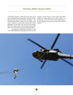## **TACTICAL IMPACT: BLACK HAWK**

constraining maneuver. While the Army trains to run a lean and agile FARP, eliminating it lessens the burdens for the mission and increases advantages. The UH-60M Black Hawk variant is at the center of the Army's long-term aviation plan and provides critical capabilities for the force over the next two decades. The Army stands to gain a true transformational capability on a conservative acquisition path with ITEP.

One reporter commenting on ITEP put it well. "The stealth Blackhawk helicopters that flew the elite members of Seal Team 6 on the mission that killed Osama bin Laden might not have had to make a refueling stop on the way back to their Afghan base if those helicopters had more powerful, fuel efficient engines."xiv

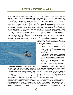For the Apache, more powerful engines could significantly extend mission capability and weapons payload. The power and efficiency increase from ITEP will benefit Apaches as that fleet faces new range and loiter demands. The AH-64 Apache is highly maneuverable gunship equipped with heavy weapons, including 30 mm machine guns, Hellfire air-to-surface anti-armor missiles and in some cases, Hydra 70 rockets. The Apache first flew in 1975 and entered full service with the Army in the mid-1980s.

Armed reconnaissance is a prime Apache mission now that they are picking up the role from the OH-58 Kiowa warriors under the Army's Aviation Restructuring Initiative. Take the example of air assault. According to Army doctrine, Apaches conduct aerial reconnaissance before a planned assault. They gain



information on landing zones, survey objective areas, test air defenses, scout for artillery targets and destroy high priority targets of opportunity. On the day before the operation, known as D-1, the work of the Apaches intensifies as movement to contact sets conditions for the assault.

On D-Day, Apaches destroy located enemy forces until landing zones are confirmed clear. As Black Hawks carrying Soldiers move forward, Apaches perform attack reconnaissance along the ingress routes and out ahead as necessary. Attack helicopters then shift to overwatch of the landing zones and push supporting fires out beyond the objective.

When Soldiers are on the ground, the Apaches add new tasks to support the ground tactical phase. As the ground force moves forward and seizes its objective, Apaches may again be tasked to support the ground tactical plan. These missions include area security for forward operating bases (FOBs) and FARPs, reconnaissance of follow-on objectives, establishing screen lines, and conducting route reconnaissance and security for lines of communication (LOCs.) "Throughout all missions, the attack reconnaissance unit is prepared to conduct target/BHOs to other attack reconnaissance aviation elements, conduct CCAs, assist with C2, and provide reconnaissance information and products," says the Army.<sup>xv</sup>

The mission of attack helicopters shows why the extended range, mission duration and payload offered by ITEP could make a big difference in scenarios described by TRADOC.

> • "Attack helicopters are offensive weapon systems. They provide commanders the means to deliver massed firepower rapidly and accurately, thus disorganizing enemy forces and allowing the friendly force to gain or maintain the initiative."

> • "The mobility and flexibility of attack helicopters expand the reach of commanders to all areas of the battlefield," according to Army doctrine. "The speed with which attack helicopters can mass combat power at chosen points in the battle area allows the force commander to influence the battle to a depth that would otherwise be beyond his reach."xvi

As with Black Hawk, the Army has invested in the Apache to add sophisticated sensors and systems as it takes on more of the scout and reconnaissance mission. Crews use a Helmet-Mounted Display which can control the 30 mm M230 Chain Gun. Some AH-64Ds have the Ground Fire Acquisition System (GFAS) to detect and target weapons fire on the ground in a 120-degree field of regard.

The Army has a major program underway to rebuild over 600 Apaches in a configuration known as the AH-64E. With new build aircraft included the planned total number of Apaches will be 690. The program started in 2006 and is already at initial op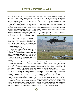erating capability. The investment is necessary because the "AH-64E Apache Remanufacture is the heavy attack helicopter of the current and the future force," according to the Army's statement in its 2013 Selected Acquisition Reports. As a network-centric platform for the Future Modular Force, the AH-64E "will provide the capability to simultaneously conduct (or quickly transition between) close combat, mobile strike, armed reconnaissance, security and vertical maneuver missions across the full spectrum of warfare from Stability and Support Operations to Major Combat Operations when required in day, night, obscured battlefield and adverse weather conditions," said the report.

 Apache crews can also control unmanned aerial vehicles via datalinks which allow a Shadow or larger Grey Eagle to share a common operating picture. The UAV links will make the Apache critical for the Army's long-term transition to a manned-unmanned mix on the battlefield.

Now add the ITEP engines. Current numbers are only estimates. However, the Advanced Turbine Engine Company (ATEC), a joint venture of Honeywell and Pratt & Whitney, has estimated the ITEP engines could increase Apache mission loiter time by 48 minutes. An increase of that magnitude has tremendous tactical impact as Apache crews take on and reshape the armed scout role using manned-unmanned teaming.

Demand for Apaches heats up when conflict intensifies. Apache helicopters were deployed to assist in the fight against ISIS terrorists in Iraq and Syria. In October 2014, Apache helicopters struck four sites in a battle near Fallujah. The Apaches worked with fixed-wing aircraft together hitting two mortar sites, a large ISIL unit and two small ISIL units, according to the Pentagon. Apaches also struck tactical units and vehicles in action near Al Asad in February 2015.<sup>xviii</sup>

These examples shed light on how improved turbine engines could greatly increase Apache combat capability by improving on-station time. The striking Apache may have to wait as Soldiers and tactical air controllers sort out positions of friendly troops, assess collateral damage risks, and pinpoint insurgents. Extra range from more fuel efficient engines extends precious on-station time so that the Apache crews can stay on the spot to strike hard rather than having to depart the action and return to bases for fuel. Keeping the same crews in the air for extra minutes as the situation develops retains their better situation awareness of strike requirements. In addition, the extra power means the Apaches can perform missions with the full complement of equipment, munitions, and fuel aboard thereby increasing firepower and mission effectiveness.xix

Apache missions of the future will demand all those capabilities. Apaches are now stationed at



Fort Wainwright in Alaska where they will train with Stryker and airborne infantry units. They will also gain experience integrating with the Air Force's longrange sensors and join upcoming Red Flag Alaska exercises with joint and allied partners.

ITEP engine performance can also increase combat mission radius. Range may be especially critical as Apaches experiment with high-intensity joint missions such as launching from Navy ships.

The Apache fleet is already stretching with innovative force projection exercises. The Army conducted experiments in 2014 with Apaches extending reach and firepower from sea platforms. "One element of this could be the use of Apache and Black Hawks on ship platforms," said Gen. Vincent K. Brooks, Commander, U.S. Army Pacific.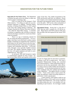**Innovation for the Future Force.** The Department of Defense has goals across the military to make sure America retains a technology edge.

ITEP is an ideal fit for the Pentagon's Third Offset initiative. "I'm telling you right now our technological superiority is slipping," reiterated Deputy Secretary of Defense Robert Work in a 2015 speech at the Army War College Strategy Conference. The Pentagon launched the Defense Innovation Initiative – also called the Third Offset strategy – to stimulate investment in capabilities that will deliver strong operational advantages essential for a much more threatening environment.

There's no sign of slackening demand for lift, air assault and armed reconnaissance. "As an example, Joint Base Lewis-McChord's combat aviation brigade is preparing for assignments that would have them flying over the Pacific Ocean for the first time," noted Assistant Secretary of the Army for Acquisition, Logistics and Technology Heidi Shyu. "In the past, Army helicopter crews generally handled missions over land. This signifies important changes in how the Army will expend equipment and funds in a post-Afghanistan era," Shyu said.xx

An advanced, 3000 shaft horsepower engine is a transformative upgrade for Army aviation. Going forward, Black Hawks and Apaches will be at the



center of the force. The combat environment of the 2020s and beyond could look very different. Picture laser weapons, more manned-unmanned teaming with helicopters and unmanned vehicles, and new hotspots across the globe. ITEP can be a driver and partner of innovation across the Army. Possibilities include:

**Operational Energy.** Saving fuel is a big part of ITEP. Take the Army's scenario for a 225 km air assault. Black Hawks with ITEP would use little more than one-fifth of the fuel required for the current 701D engines.



It's part of a bigger plan for innovation in operational energy to pay off in combat power. The Army's Equipment Modernization Strategy also committed the aviation portfolio to "reduce operational energy requirements and develop operationally viable alternative energy sources to reduce Soldier risk and improve sustainment." As the document pointed out, the Army "faces significant risks from outdated and inefficient energy capabilities." This applies directly to aviation systems. "Future aerial systems require greater lift, range and endurance without increasing logistical requirements," noted a special annex.

At fleet maturity, ITEP engines could save up to 50 million gallons of fuel yearly across the Apache and Black Hawk flight hours. The savings could total one billion dollars per year. Cost estimates will vary depending on spot oil prices. An even bigger variable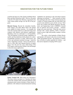would be the final size of the Apache and Black Hawk fleets and their flying hour totals. However, the point is that the 25% better fuel efficiency requested by the Army returns dollar savings over the life of the program.

**Directed Energy.** Beyond the immediate benefits, ITEP engines will make Black Hawk and Apache more capable for future missions. For example, the Army has research underway on directed energy laser weapons with offensive and defensive applications. Mounting a laser on a helicopter is a real possibility. "The development of directed energy capabilities on mobile and fixed platforms holds promise for ordersof-magnitude increases in range, effectiveness, rate of fire, and unlimited munitions stowage," stated the Army's Operating Concept.xxi Power for directed energy in a fiber optic laser depends directly on engine power. Over the next few years, field testing of the ITEP engine could ascertain whether it has advantages in directed energy applications.

capabilities for operations in the networked common operating environment."xxii More research on future lift could begin after 2017. Future Vertical Lift may be a family of systems fielded after the mid-2030s with several exotic platforms across all the services. Work led by the Aviation and Missile Research, Development, and Engineering Center (AMRDEC) focused first on software and avionics concepts. Airframe design will come much later. When the Army moves forward with a future platform, ITEP is well-positioned to power light and possibly medium versions of FVL.xxiii

The reality is that hundreds of Black Hawks and Apaches will remain in the Army inventory in the 2040s and perhaps beyond. The question is whether they will deliver combat capability for Soldiers – and that answer depends on keeping ITEP on pace.



**Future Vertical Lift.** What about new helicopters? The Army's thirty-year plan is to "introduce the future vertical lift, medium utility and attack platforms while unmanned aerial systems introduce a future family of platforms with enhanced manned/unmanned teaming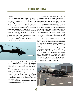#### **Next Steps**

ITEP is the number one priority for the Army, according to Assistant Secretary of the Army Shyu. The Army wants a new turbine engine so its helicopters can fly in high and hot conditions anywhere in the world. ITEP's increased range, she said, will also save the Army in the number of helicopters it needs.<sup>xxv</sup> ITEP was approved by Undersecretary of Defense for Acquisition Frank Kendall in August 2015.

ITEP entered an exciting new phase with the release of requests for proposals in fall 2015. Next, the Army will select teams to go under contract to develop engines and compete for the program award. Formal competition begins in 2016.

A winner will be selected in spring 2018 to proceed to Engineering, Manufacturing and Develop-



ment. Developing a production-ready engine will still require a substantial period of development and thousands of hours of engine testing to reach a military quality engine that can transition to full-rate production.

Ultimately the Army expects to buy 6,215 engines including spares.

Under current plans, the combat improvements offered by ITEP are still more than half a decade away. Any delay in the program will push back the timeline even more and leave Soldiers with less than what they need.

On Capitol Hill, Congress included funds for the competition in its 2016 budget.

Congress has recognized the technology development in ITEP can make Black Hawks and Apaches far more effective. Support has been steady – particularly from those who recognize what additional helicopter power provides for Soldiers.

The Senate Armed Services Committee has consistently expressed its support for ITEP. The Committee stated: "providing adequate and stable funding for ITEP sufficient to carry at least two engine developers over the next few years and through completion of the technology development phase is important to reduce risk, achieve appropriate technology maturity, and set the conditions for ultimate program success."xxiv

"The initiative to retrofit and upgrade the engines of the workhorse Black Hawk and Apache helicopter fleets via the improved turbine engine program is a testament to intelligent decision-making in the new budget era," wrote Rep. Duncan Hunter of California.xxv

"I want to commend the U.S. Army for establishing a firm requirement for the Improved Turbine Engine Program," said Rep. Tammy Duckworth of Illinois. Duckworth was a Black Hawk pilot who was shot down in Iraq in 2004. "What you have done to develop and integrate the engine provides a heck of a lot more engine power...a lot more fuel savings, and it is really a significant combat multiplier and good for cost savings as well," Duckworth stated.

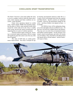The Nation "must have a force that enables the Army to win in a complex world in which the future adversaries, future missions and future conditions are uncertain," noted TRADOC.

Future Army operations depend on combat reach. Pacific islands, Middle East mountain ranges, the flat plains of Africa: many potential trouble spots around the world could call on the Army to rapidly insert troops and provide armed reconnaissance and supporting fires in a joint or Coalition operation.

Tactical scenarios make a strong case. Investing in increased engine performance delivers unique and significant gains that cannot come from any other type of upgrade.

The value of ITEP rides on combat performance improvements. The Army's concepts for rapid insertion and dominant maneuver under *Win in a Complex World* will demand much from the Apaches and Black Hawks. Specific scenarios are impossible to predict. However, the performance margin for the crews – and those Soldiers who depend on them – is invaluable.

By 2040 the Army will be undergoing changes to a force that fights and wins in different ways. Yet that force will still rely on Black Hawks and Apaches. They may serve an exotic force of unmanned systems and Soldiers teamed together. Yet the missions of air assault, armed reconnaissance and strike will remain core for Soldiers. Only with ITEP can the Black Hawk and Apache deliver all that Soldiers - and the Nation will expect of them.

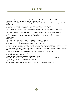# **END NOTES**

xx Heidi Shyu, Remarks to KMI Media Group Military Logistics Forum, March 2015.

xxi TRADOC Pam 525-3, 2014, p. 37.

xxii Army Equipment Modernization Strategy, 2013, Annex E, Aviation.

xxiii U.S. Army, Stand-To! Future Vertical lift, July 24, 2014. http://www.army.mil/standto/archive\_2014-07-24/

xxiv Carl Levin National Defense Authorization Act, June 2014.

xxv Hunter, op.cit.

xxvi "New Turbine Engine is Army's Number One Priority, Shyu Says," *Defense Daily*, April 1, 2105.

<sup>&</sup>lt;sup>i</sup> C. Todd Lopez, "Lundy: Gold-plated gear not always best value for Army," www.army.mil March 30, 2015. ii United States Army, TCM Lift Slide, US Army Contracting command. iii Rep. Duncan Hunter, "Commentary: Strategic Budget Choices Apache, Black Hawk Engine Upgrades Vital," *Defense News*, August 18, 2014. iv Richard Whittle, "Its Unbelievable What We Go Through," *Breaking Defense* May 6, 2015. v "Army Awaiting Go Ahead for New Helicopter Engines," *National Defense*, March 1, 2004. vi Valerie Insinna, "Fuel-Efficient Engine to Increase Range, Power for Army Helicopters," *National Defense*, January 2014. vii Insinna, op. cit. viii Kris Osborn, "Phillips outlines aviation modernization priorities," ASA(ALT) - October 31, 2012, www.army.mil. ix Birg Gen. Gary Brito, Force 2025 and Beyond: The Way Ahead," ARMY Magazine, February 2015. x TRADOC Pamphlet 525-3, *The U.S. Army Operating Concept: Win in a Complex World*, October 31, 2014, p. 17. xi Lopez, op. cit. xii TRADOC, 525-3, p. 38. xiii Kris Osborn, "New Army Black Hawk succeeds in combat," March 4, 2010, army.mil. xiv Marcus Weisgerber, Army's Next Engine War, *Defense One*, October 13, 2014. xv U.S. Army, TC 1-400, Chapter 3, Reconnaissance/Security/Attack Operations. xvi These statements are from doctrinal mission statements for attack helicopters and have changed little from this 1997 version. xvii Luis Martinez, "U.S. Now Using Apache Helicopters to Attack ISIS in Iraq," *ABC News*, October 5, 2014. xviii Combined Joint Task Force – Operation Inherent Resolve Public Affairs, U.S., Coalition Allies Continue Airstrikes Against ISIL," Department of Defense, February 13, 2015. xix William Cole, "Helicopters Herald Army's New Focus," *Honolulu Advertiser*, August 23, 2014.